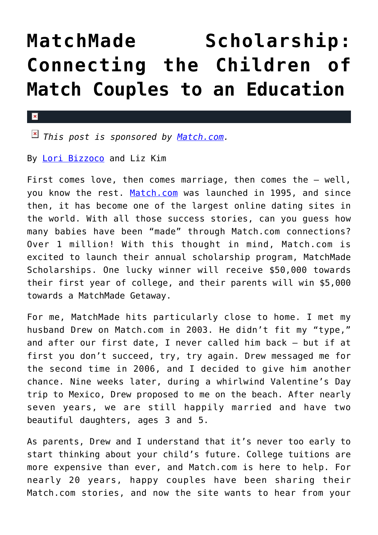## **[MatchMade Scholarship:](https://cupidspulse.com/74813/matchmade-scholarship-product-review/) [Connecting the Children of](https://cupidspulse.com/74813/matchmade-scholarship-product-review/) [Match Couples to an Education](https://cupidspulse.com/74813/matchmade-scholarship-product-review/)**

## $\mathbf{x}$

*This post is sponsored by [Match.com](http://Match.com).*

By [Lori Bizzoco](http://cupidspulse.com/104596/lori-bizzoco/) and Liz Kim

First comes love, then comes marriage, then comes the - well, you know the rest. [Match.com](http://www.match.com/) was launched in 1995, and since then, it has become one of the largest online dating sites in the world. With all those success stories, can you guess how many babies have been "made" through Match.com connections? Over 1 million! With this thought in mind, Match.com is excited to launch their annual scholarship program, MatchMade Scholarships. One lucky winner will receive \$50,000 towards their first year of college, and their parents will win \$5,000 towards a MatchMade Getaway.

For me, MatchMade hits particularly close to home. I met my husband Drew on Match.com in 2003. He didn't fit my "type," and after our first date, I never called him back — but if at first you don't succeed, try, try again. Drew messaged me for the second time in 2006, and I decided to give him another chance. Nine weeks later, during a whirlwind Valentine's Day trip to Mexico, Drew proposed to me on the beach. After nearly seven years, we are still happily married and have two beautiful daughters, ages 3 and 5.

As parents, Drew and I understand that it's never too early to start thinking about your child's future. College tuitions are more expensive than ever, and Match.com is here to help. For nearly 20 years, happy couples have been sharing their Match.com stories, and now the site wants to hear from your